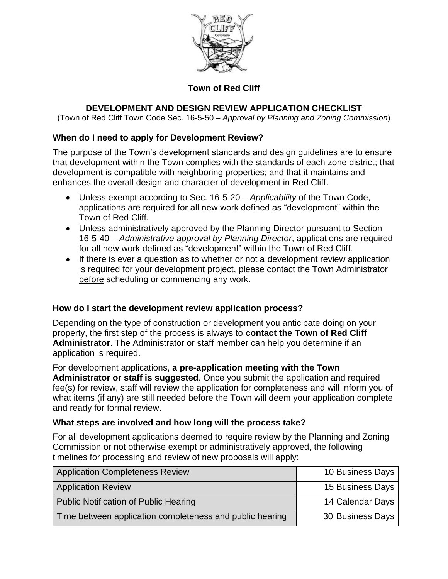

### **Town of Red Cliff**

### **DEVELOPMENT AND DESIGN REVIEW APPLICATION CHECKLIST**

(Town of Red Cliff Town Code Sec. 16-5-50 – *Approval by Planning and Zoning Commission*)

#### **When do I need to apply for Development Review?**

The purpose of the Town's development standards and design guidelines are to ensure that development within the Town complies with the standards of each zone district; that development is compatible with neighboring properties; and that it maintains and enhances the overall design and character of development in Red Cliff.

- Unless exempt according to Sec. 16-5-20 *Applicability* of the Town Code, applications are required for all new work defined as "development" within the Town of Red Cliff.
- Unless administratively approved by the Planning Director pursuant to Section 16-5-40 – *Administrative approval by Planning Director*, applications are required for all new work defined as "development" within the Town of Red Cliff.
- If there is ever a question as to whether or not a development review application is required for your development project, please contact the Town Administrator before scheduling or commencing any work.

#### **How do I start the development review application process?**

Depending on the type of construction or development you anticipate doing on your property, the first step of the process is always to **contact the Town of Red Cliff Administrator**. The Administrator or staff member can help you determine if an application is required.

For development applications, **a pre-application meeting with the Town Administrator or staff is suggested**. Once you submit the application and required fee(s) for review, staff will review the application for completeness and will inform you of what items (if any) are still needed before the Town will deem your application complete and ready for formal review.

#### **What steps are involved and how long will the process take?**

For all development applications deemed to require review by the Planning and Zoning Commission or not otherwise exempt or administratively approved, the following timelines for processing and review of new proposals will apply:

| <b>Application Completeness Review</b>                   | 10 Business Days |
|----------------------------------------------------------|------------------|
| <b>Application Review</b>                                | 15 Business Days |
| <b>Public Notification of Public Hearing</b>             | 14 Calendar Days |
| Time between application completeness and public hearing | 30 Business Days |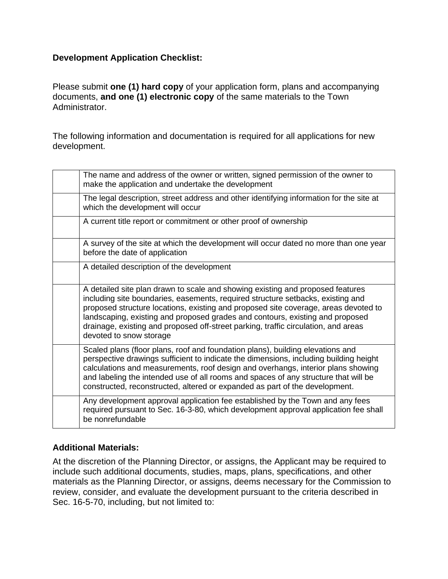### **Development Application Checklist:**

Please submit **one (1) hard copy** of your application form, plans and accompanying documents, **and one (1) electronic copy** of the same materials to the Town Administrator.

The following information and documentation is required for all applications for new development.

| The name and address of the owner or written, signed permission of the owner to<br>make the application and undertake the development                                                                                                                                                                                                                                                                                                                      |
|------------------------------------------------------------------------------------------------------------------------------------------------------------------------------------------------------------------------------------------------------------------------------------------------------------------------------------------------------------------------------------------------------------------------------------------------------------|
| The legal description, street address and other identifying information for the site at<br>which the development will occur                                                                                                                                                                                                                                                                                                                                |
| A current title report or commitment or other proof of ownership                                                                                                                                                                                                                                                                                                                                                                                           |
| A survey of the site at which the development will occur dated no more than one year<br>before the date of application                                                                                                                                                                                                                                                                                                                                     |
| A detailed description of the development                                                                                                                                                                                                                                                                                                                                                                                                                  |
| A detailed site plan drawn to scale and showing existing and proposed features<br>including site boundaries, easements, required structure setbacks, existing and<br>proposed structure locations, existing and proposed site coverage, areas devoted to<br>landscaping, existing and proposed grades and contours, existing and proposed<br>drainage, existing and proposed off-street parking, traffic circulation, and areas<br>devoted to snow storage |
| Scaled plans (floor plans, roof and foundation plans), building elevations and<br>perspective drawings sufficient to indicate the dimensions, including building height<br>calculations and measurements, roof design and overhangs, interior plans showing<br>and labeling the intended use of all rooms and spaces of any structure that will be<br>constructed, reconstructed, altered or expanded as part of the development.                          |
| Any development approval application fee established by the Town and any fees<br>required pursuant to Sec. 16-3-80, which development approval application fee shall<br>be nonrefundable                                                                                                                                                                                                                                                                   |

### **Additional Materials:**

At the discretion of the Planning Director, or assigns, the Applicant may be required to include such additional documents, studies, maps, plans, specifications, and other materials as the Planning Director, or assigns, deems necessary for the Commission to review, consider, and evaluate the development pursuant to the criteria described in Sec. 16-5-70, including, but not limited to: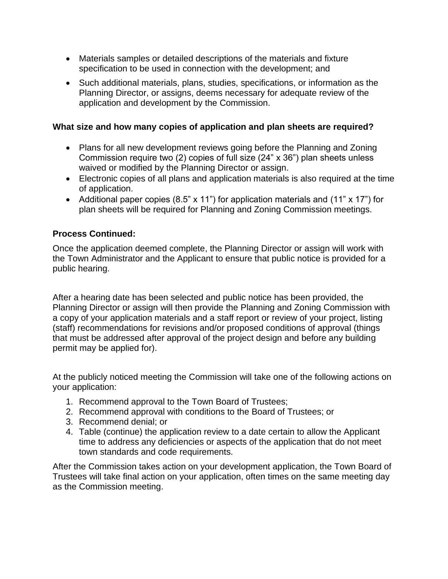- Materials samples or detailed descriptions of the materials and fixture specification to be used in connection with the development; and
- Such additional materials, plans, studies, specifications, or information as the Planning Director, or assigns, deems necessary for adequate review of the application and development by the Commission.

#### **What size and how many copies of application and plan sheets are required?**

- Plans for all new development reviews going before the Planning and Zoning Commission require two (2) copies of full size (24" x 36") plan sheets unless waived or modified by the Planning Director or assign.
- Electronic copies of all plans and application materials is also required at the time of application.
- Additional paper copies (8.5" x 11") for application materials and (11" x 17") for plan sheets will be required for Planning and Zoning Commission meetings.

#### **Process Continued:**

Once the application deemed complete, the Planning Director or assign will work with the Town Administrator and the Applicant to ensure that public notice is provided for a public hearing.

After a hearing date has been selected and public notice has been provided, the Planning Director or assign will then provide the Planning and Zoning Commission with a copy of your application materials and a staff report or review of your project, listing (staff) recommendations for revisions and/or proposed conditions of approval (things that must be addressed after approval of the project design and before any building permit may be applied for).

At the publicly noticed meeting the Commission will take one of the following actions on your application:

- 1. Recommend approval to the Town Board of Trustees;
- 2. Recommend approval with conditions to the Board of Trustees; or
- 3. Recommend denial; or
- 4. Table (continue) the application review to a date certain to allow the Applicant time to address any deficiencies or aspects of the application that do not meet town standards and code requirements.

After the Commission takes action on your development application, the Town Board of Trustees will take final action on your application, often times on the same meeting day as the Commission meeting.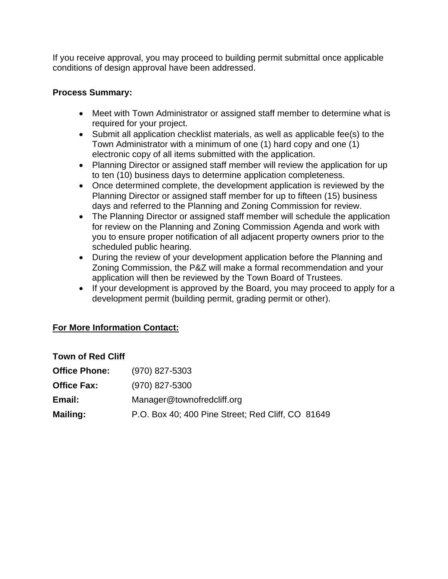If you receive approval, you may proceed to building permit submittal once applicable conditions of design approval have been addressed.

#### **Process Summary:**

- Meet with Town Administrator or assigned staff member to determine what is required for your project.
- Submit all application checklist materials, as well as applicable fee(s) to the Town Administrator with a minimum of one (1) hard copy and one (1) electronic copy of all items submitted with the application.
- Planning Director or assigned staff member will review the application for up to ten (10) business days to determine application completeness.
- Once determined complete, the development application is reviewed by the Planning Director or assigned staff member for up to fifteen (15) business days and referred to the Planning and Zoning Commission for review.
- The Planning Director or assigned staff member will schedule the application for review on the Planning and Zoning Commission Agenda and work with you to ensure proper notification of all adjacent property owners prior to the scheduled public hearing.
- During the review of your development application before the Planning and Zoning Commission, the P&Z will make a formal recommendation and your application will then be reviewed by the Town Board of Trustees.
- If your development is approved by the Board, you may proceed to apply for a development permit (building permit, grading permit or other).

### **For More Information Contact:**

| <b>Town of Red Cliff</b> |                                                   |  |
|--------------------------|---------------------------------------------------|--|
| <b>Office Phone:</b>     | $(970)$ 827-5303                                  |  |
| <b>Office Fax:</b>       | (970) 827-5300                                    |  |
| Email:                   | Manager@townofredcliff.org                        |  |
| <b>Mailing:</b>          | P.O. Box 40; 400 Pine Street; Red Cliff, CO 81649 |  |